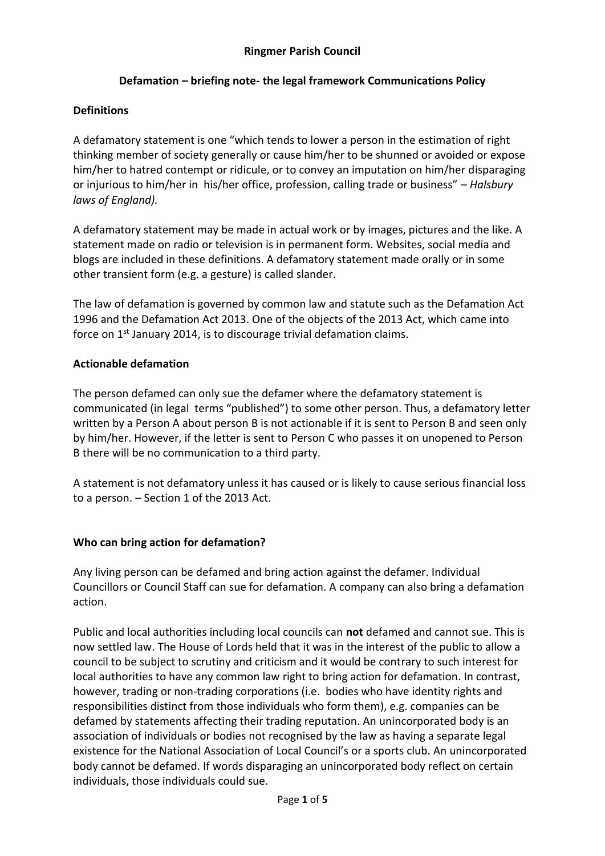# **Defamation – briefing note- the legal framework Communications Policy**

#### **Definitions**

A defamatory statement is one "which tends to lower a person in the estimation of right thinking member of society generally or cause him/her to be shunned or avoided or expose him/her to hatred contempt or ridicule, or to convey an imputation on him/her disparaging or injurious to him/her in his/her office, profession, calling trade or business" – *Halsbury laws of England).* 

A defamatory statement may be made in actual work or by images, pictures and the like. A statement made on radio or television is in permanent form. Websites, social media and blogs are included in these definitions. A defamatory statement made orally or in some other transient form (e.g. a gesture) is called slander.

The law of defamation is governed by common law and statute such as the Defamation Act 1996 and the Defamation Act 2013. One of the objects of the 2013 Act, which came into force on 1<sup>st</sup> January 2014, is to discourage trivial defamation claims.

#### **Actionable defamation**

The person defamed can only sue the defamer where the defamatory statement is communicated (in legal terms "published") to some other person. Thus, a defamatory letter written by a Person A about person B is not actionable if it is sent to Person B and seen only by him/her. However, if the letter is sent to Person C who passes it on unopened to Person B there will be no communication to a third party.

A statement is not defamatory unless it has caused or is likely to cause serious financial loss to a person. – Section 1 of the 2013 Act.

### **Who can bring action for defamation?**

Any living person can be defamed and bring action against the defamer. Individual Councillors or Council Staff can sue for defamation. A company can also bring a defamation action.

Public and local authorities including local councils can **not** defamed and cannot sue. This is now settled law. The House of Lords held that it was in the interest of the public to allow a council to be subject to scrutiny and criticism and it would be contrary to such interest for local authorities to have any common law right to bring action for defamation. In contrast, however, trading or non-trading corporations (i.e. bodies who have identity rights and responsibilities distinct from those individuals who form them), e.g. companies can be defamed by statements affecting their trading reputation. An unincorporated body is an association of individuals or bodies not recognised by the law as having a separate legal existence for the National Association of Local Council's or a sports club. An unincorporated body cannot be defamed. If words disparaging an unincorporated body reflect on certain individuals, those individuals could sue.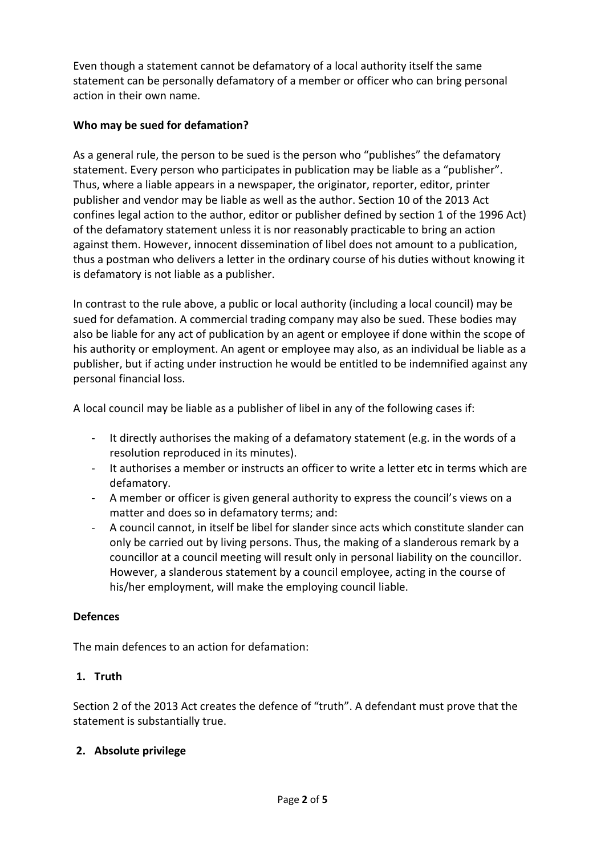Even though a statement cannot be defamatory of a local authority itself the same statement can be personally defamatory of a member or officer who can bring personal action in their own name.

# **Who may be sued for defamation?**

As a general rule, the person to be sued is the person who "publishes" the defamatory statement. Every person who participates in publication may be liable as a "publisher". Thus, where a liable appears in a newspaper, the originator, reporter, editor, printer publisher and vendor may be liable as well as the author. Section 10 of the 2013 Act confines legal action to the author, editor or publisher defined by section 1 of the 1996 Act) of the defamatory statement unless it is nor reasonably practicable to bring an action against them. However, innocent dissemination of libel does not amount to a publication, thus a postman who delivers a letter in the ordinary course of his duties without knowing it is defamatory is not liable as a publisher.

In contrast to the rule above, a public or local authority (including a local council) may be sued for defamation. A commercial trading company may also be sued. These bodies may also be liable for any act of publication by an agent or employee if done within the scope of his authority or employment. An agent or employee may also, as an individual be liable as a publisher, but if acting under instruction he would be entitled to be indemnified against any personal financial loss.

A local council may be liable as a publisher of libel in any of the following cases if:

- It directly authorises the making of a defamatory statement (e.g. in the words of a resolution reproduced in its minutes).
- It authorises a member or instructs an officer to write a letter etc in terms which are defamatory.
- A member or officer is given general authority to express the council's views on a matter and does so in defamatory terms; and:
- A council cannot, in itself be libel for slander since acts which constitute slander can only be carried out by living persons. Thus, the making of a slanderous remark by a councillor at a council meeting will result only in personal liability on the councillor. However, a slanderous statement by a council employee, acting in the course of his/her employment, will make the employing council liable.

### **Defences**

The main defences to an action for defamation:

# **1. Truth**

Section 2 of the 2013 Act creates the defence of "truth". A defendant must prove that the statement is substantially true.

### **2. Absolute privilege**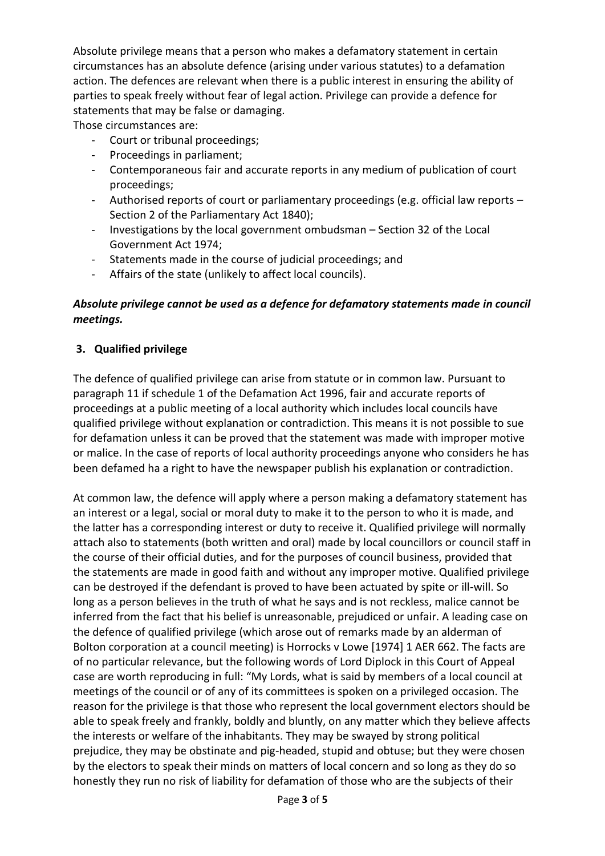Absolute privilege means that a person who makes a defamatory statement in certain circumstances has an absolute defence (arising under various statutes) to a defamation action. The defences are relevant when there is a public interest in ensuring the ability of parties to speak freely without fear of legal action. Privilege can provide a defence for statements that may be false or damaging.

Those circumstances are:

- Court or tribunal proceedings;
- Proceedings in parliament;
- Contemporaneous fair and accurate reports in any medium of publication of court proceedings;
- Authorised reports of court or parliamentary proceedings (e.g. official law reports Section 2 of the Parliamentary Act 1840);
- Investigations by the local government ombudsman Section 32 of the Local Government Act 1974;
- Statements made in the course of judicial proceedings; and
- Affairs of the state (unlikely to affect local councils).

# *Absolute privilege cannot be used as a defence for defamatory statements made in council meetings.*

# **3. Qualified privilege**

The defence of qualified privilege can arise from statute or in common law. Pursuant to paragraph 11 if schedule 1 of the Defamation Act 1996, fair and accurate reports of proceedings at a public meeting of a local authority which includes local councils have qualified privilege without explanation or contradiction. This means it is not possible to sue for defamation unless it can be proved that the statement was made with improper motive or malice. In the case of reports of local authority proceedings anyone who considers he has been defamed ha a right to have the newspaper publish his explanation or contradiction.

At common law, the defence will apply where a person making a defamatory statement has an interest or a legal, social or moral duty to make it to the person to who it is made, and the latter has a corresponding interest or duty to receive it. Qualified privilege will normally attach also to statements (both written and oral) made by local councillors or council staff in the course of their official duties, and for the purposes of council business, provided that the statements are made in good faith and without any improper motive. Qualified privilege can be destroyed if the defendant is proved to have been actuated by spite or ill-will. So long as a person believes in the truth of what he says and is not reckless, malice cannot be inferred from the fact that his belief is unreasonable, prejudiced or unfair. A leading case on the defence of qualified privilege (which arose out of remarks made by an alderman of Bolton corporation at a council meeting) is Horrocks v Lowe [1974] 1 AER 662. The facts are of no particular relevance, but the following words of Lord Diplock in this Court of Appeal case are worth reproducing in full: "My Lords, what is said by members of a local council at meetings of the council or of any of its committees is spoken on a privileged occasion. The reason for the privilege is that those who represent the local government electors should be able to speak freely and frankly, boldly and bluntly, on any matter which they believe affects the interests or welfare of the inhabitants. They may be swayed by strong political prejudice, they may be obstinate and pig-headed, stupid and obtuse; but they were chosen by the electors to speak their minds on matters of local concern and so long as they do so honestly they run no risk of liability for defamation of those who are the subjects of their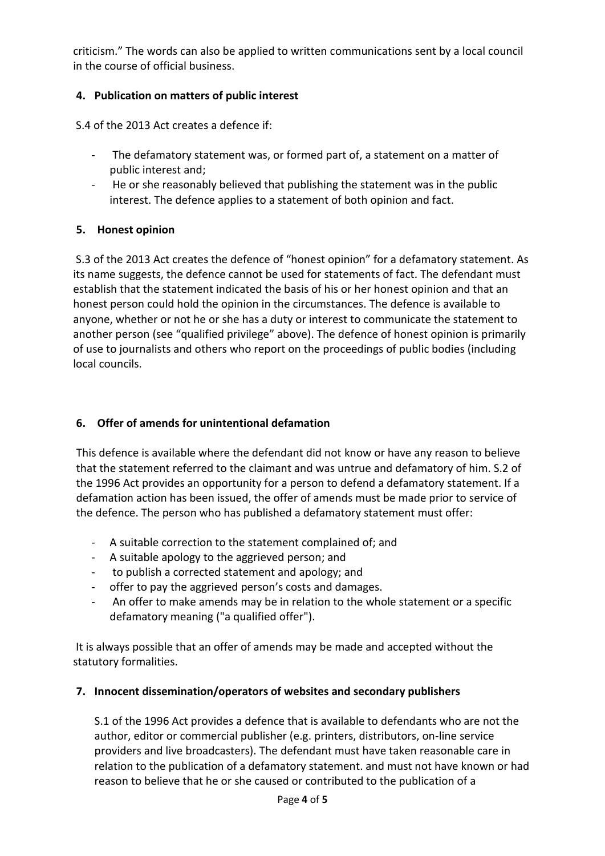criticism." The words can also be applied to written communications sent by a local council in the course of official business.

# **4. Publication on matters of public interest**

S.4 of the 2013 Act creates a defence if:

- The defamatory statement was, or formed part of, a statement on a matter of public interest and;
- He or she reasonably believed that publishing the statement was in the public interest. The defence applies to a statement of both opinion and fact.

### **5. Honest opinion**

S.3 of the 2013 Act creates the defence of "honest opinion" for a defamatory statement. As its name suggests, the defence cannot be used for statements of fact. The defendant must establish that the statement indicated the basis of his or her honest opinion and that an honest person could hold the opinion in the circumstances. The defence is available to anyone, whether or not he or she has a duty or interest to communicate the statement to another person (see "qualified privilege" above). The defence of honest opinion is primarily of use to journalists and others who report on the proceedings of public bodies (including local councils.

#### **6. Offer of amends for unintentional defamation**

This defence is available where the defendant did not know or have any reason to believe that the statement referred to the claimant and was untrue and defamatory of him. S.2 of the 1996 Act provides an opportunity for a person to defend a defamatory statement. If a defamation action has been issued, the offer of amends must be made prior to service of the defence. The person who has published a defamatory statement must offer:

- A suitable correction to the statement complained of; and
- A suitable apology to the aggrieved person; and
- to publish a corrected statement and apology; and
- offer to pay the aggrieved person's costs and damages.
- An offer to make amends may be in relation to the whole statement or a specific defamatory meaning ("a qualified offer").

It is always possible that an offer of amends may be made and accepted without the statutory formalities.

#### **7. Innocent dissemination/operators of websites and secondary publishers**

S.1 of the 1996 Act provides a defence that is available to defendants who are not the author, editor or commercial publisher (e.g. printers, distributors, on-line service providers and live broadcasters). The defendant must have taken reasonable care in relation to the publication of a defamatory statement. and must not have known or had reason to believe that he or she caused or contributed to the publication of a